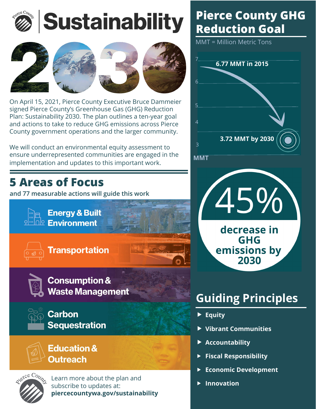



On April 15, 2021, Pierce County Executive Bruce Dammeier signed Pierce County's Greenhouse Gas (GHG) Reduction Plan: Sustainability 2030. The plan outlines a ten-year goal and actions to take to reduce GHG emissions across Pierce County government operations and the larger community.

We will conduct an environmental equity assessment to ensure underrepresented communities are engaged in the implementation and updates to this important work.

## **5 Areas of Focus**

**and 77 measurable actions will guide this work**



**Waste Management** 



**Carbon Sequestration** 





Learn more about the plan and subscribe to updates at: **piercecountywa.gov/sustainability**

# **Pierce County GHG Reduction Goal**

MMT = Million Metric Tons





# **Guiding Principles**

- **F** Equity
- **Vibrant Communities**
- ▶ Accountability
- **Fiscal Responsibility**
- f **Economic Development**
- f **Innovation**